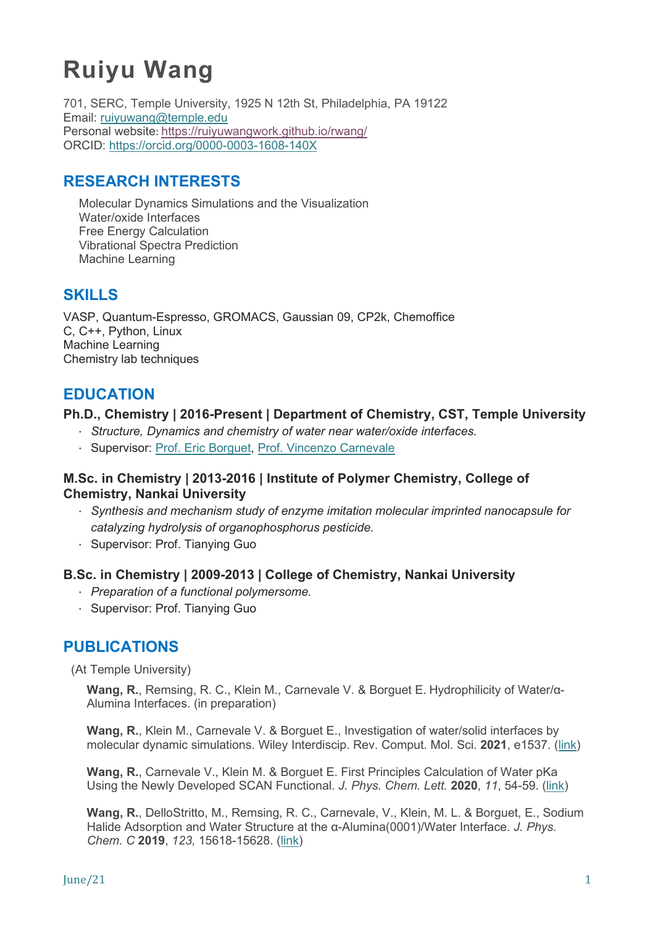# **Ruiyu Wang**

701, SERC, Temple University, 1925 N 12th St, Philadelphia, PA 19122 Email: [ruiyuwang@temple.edu](mailto:ruiyuwang@temple.edu) Personal website: <https://ruiyuwangwork.github.io/rwang/> ORCID:<https://orcid.org/0000-0003-1608-140X>

# **RESEARCH INTERESTS**

Molecular Dynamics Simulations and the Visualization Water/oxide Interfaces Free Energy Calculation Vibrational Spectra Prediction Machine Learning

# **SKILLS**

VASP, Quantum-Espresso, GROMACS, Gaussian 09, CP2k, Chemoffice C, C++, Python, Linux Machine Learning Chemistry lab techniques

## **EDUCATION**

#### **Ph.D., Chemistry | 2016-Present | Department of Chemistry, CST, Temple University**

- · *Structure, Dynamics and chemistry of water near water/oxide interfaces.*
- · Supervisor: [Prof. Eric Borguet,](https://sites.temple.edu/borguet/) Prof. [Vincenzo Carnevale](https://carnevalelab.org/)

#### **M.Sc. in Chemistry | 2013-2016 | Institute of Polymer Chemistry, College of Chemistry, Nankai University**

- · *Synthesis and mechanism study of enzyme imitation molecular imprinted nanocapsule for catalyzing hydrolysis of organophosphorus pesticide.*
- · Supervisor: Prof. Tianying Guo

#### **B.Sc. in Chemistry | 2009-2013 | College of Chemistry, Nankai University**

- · *Preparation of a functional polymersome.*
- · Supervisor: Prof. Tianying Guo

## **PUBLICATIONS**

(At Temple University)

**Wang, R.**, Remsing, R. C., Klein M., Carnevale V. & Borguet E. Hydrophilicity of Water/α-Alumina Interfaces. (in preparation)

**Wang, R.**, Klein M., Carnevale V. & Borguet E., Investigation of water/solid interfaces by molecular dynamic simulations. Wiley Interdiscip. Rev. Comput. Mol. Sci. **2021**, e1537. [\(link\)](https://doi.org/10.1002/wcms.1537)

**Wang, R.**, Carnevale V., Klein M. & Borguet E. First Principles Calculation of Water pKa Using the Newly Developed SCAN Functional. *J. Phys. Chem. Lett.* **2020**, *11*, 54-59. [\(link\)](https://doi.org/10.1021/acs.jpclett.9b02913)

**Wang, R.**, DelloStritto, M., Remsing, R. C., Carnevale, V., Klein, M. L. & Borguet, E., Sodium Halide Adsorption and Water Structure at the α-Alumina(0001)/Water Interface. *J. Phys. Chem. C* **2019**, *123*, 15618-15628. [\(link\)](https://doi.org/10.1021/acs.jpcc.9b03054)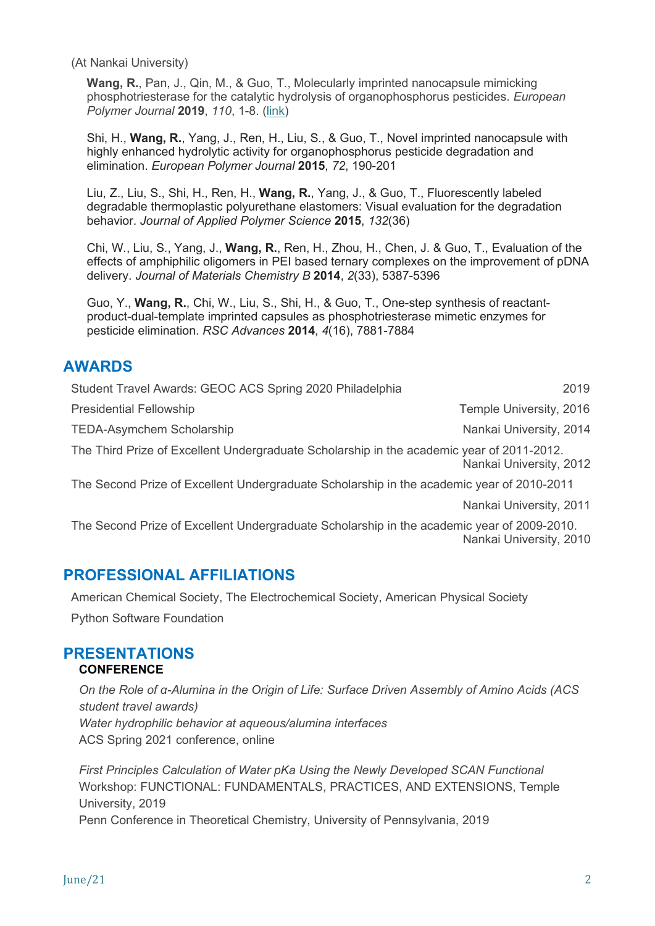(At Nankai University)

**Wang, R.**, Pan, J., Qin, M., & Guo, T., Molecularly imprinted nanocapsule mimicking phosphotriesterase for the catalytic hydrolysis of organophosphorus pesticides. *European Polymer Journal* **2019**, *110*, 1-8. [\(link\)](https://doi.org/10.1016/j.eurpolymj.2018.10.045)

Shi, H., **Wang, R.**, Yang, J., Ren, H., Liu, S., & Guo, T., Novel imprinted nanocapsule with highly enhanced hydrolytic activity for organophosphorus pesticide degradation and elimination. *European Polymer Journal* **2015**, *72*, 190-201

Liu, Z., Liu, S., Shi, H., Ren, H., **Wang, R.**, Yang, J., & Guo, T., Fluorescently labeled degradable thermoplastic polyurethane elastomers: Visual evaluation for the degradation behavior. *Journal of Applied Polymer Science* **2015**, *132*(36)

Chi, W., Liu, S., Yang, J., **Wang, R.**, Ren, H., Zhou, H., Chen, J. & Guo, T., Evaluation of the effects of amphiphilic oligomers in PEI based ternary complexes on the improvement of pDNA delivery. *Journal of Materials Chemistry B* **2014**, *2*(33), 5387-5396

Guo, Y., **Wang, R.**, Chi, W., Liu, S., Shi, H., & Guo, T., One-step synthesis of reactantproduct-dual-template imprinted capsules as phosphotriesterase mimetic enzymes for pesticide elimination. *RSC Advances* **2014**, *4*(16), 7881-7884

## **AWARDS**

| Student Travel Awards: GEOC ACS Spring 2020 Philadelphia                                  | 2019                    |
|-------------------------------------------------------------------------------------------|-------------------------|
| <b>Presidential Fellowship</b>                                                            | Temple University, 2016 |
| <b>TEDA-Asymchem Scholarship</b>                                                          | Nankai University, 2014 |
| The Third Prize of Excellent Undergraduate Scholarship in the academic year of 2011-2012. | Nankai University, 2012 |
| The Second Prize of Excellent Undergraduate Scholarship in the academic year of 2010-2011 |                         |
|                                                                                           | Nankai University, 2011 |

The Second Prize of Excellent Undergraduate Scholarship in the academic year of 2009-2010. Nankai University, 2010

#### **PROFESSIONAL AFFILIATIONS**

American Chemical Society, The Electrochemical Society, American Physical Society Python Software Foundation

# **PRESENTATIONS**

#### **CONFERENCE**

*On the Role of α-Alumina in the Origin of Life: Surface Driven Assembly of Amino Acids (ACS student travel awards) Water hydrophilic behavior at aqueous/alumina interfaces* ACS Spring 2021 conference, online

*First Principles Calculation of Water pKa Using the Newly Developed SCAN Functional* Workshop: FUNCTIONAL: FUNDAMENTALS, PRACTICES, AND EXTENSIONS, Temple University, 2019 Penn Conference in Theoretical Chemistry, University of Pennsylvania, 2019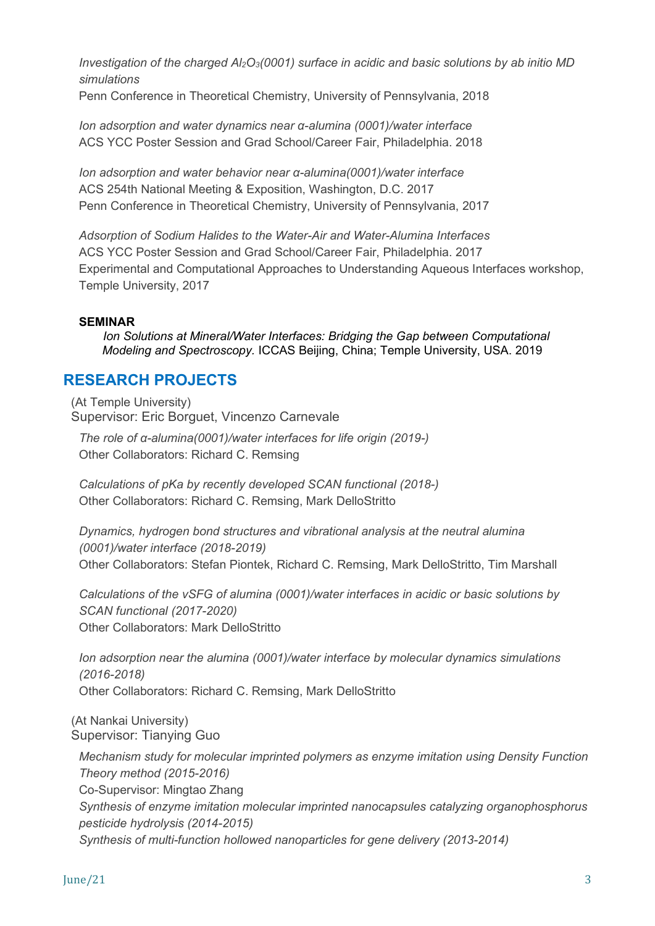*Investigation of the charged Al2O3(0001) surface in acidic and basic solutions by ab initio MD simulations*

Penn Conference in Theoretical Chemistry, University of Pennsylvania, 2018

*Ion adsorption and water dynamics near α-alumina (0001)/water interface* ACS YCC Poster Session and Grad School/Career Fair, Philadelphia. 2018

*Ion adsorption and water behavior near α-alumina(0001)/water interface* ACS 254th National Meeting & Exposition, Washington, D.C. 2017 Penn Conference in Theoretical Chemistry, University of Pennsylvania, 2017

*Adsorption of Sodium Halides to the Water-Air and Water-Alumina Interfaces* ACS YCC Poster Session and Grad School/Career Fair, Philadelphia. 2017 Experimental and Computational Approaches to Understanding Aqueous Interfaces workshop, Temple University, 2017

#### **SEMINAR**

*Ion Solutions at Mineral/Water Interfaces: Bridging the Gap between Computational Modeling and Spectroscopy.* ICCAS Beijing, China; Temple University, USA. 2019

## **RESEARCH PROJECTS**

(At Temple University) Supervisor: Eric Borguet, Vincenzo Carnevale

*The role of α-alumina(0001)/water interfaces for life origin (2019-)* Other Collaborators: Richard C. Remsing

*Calculations of pKa by recently developed SCAN functional (2018-)* Other Collaborators: Richard C. Remsing, Mark DelloStritto

*Dynamics, hydrogen bond structures and vibrational analysis at the neutral alumina (0001)/water interface (2018-2019)* Other Collaborators: Stefan Piontek, Richard C. Remsing, Mark DelloStritto, Tim Marshall

*Calculations of the vSFG of alumina (0001)/water interfaces in acidic or basic solutions by SCAN functional (2017-2020)* Other Collaborators: Mark DelloStritto

*Ion adsorption near the alumina (0001)/water interface by molecular dynamics simulations (2016-2018)* Other Collaborators: Richard C. Remsing, Mark DelloStritto

(At Nankai University) Supervisor: Tianying Guo

*Mechanism study for molecular imprinted polymers as enzyme imitation using Density Function Theory method (2015-2016)*  Co-Supervisor: Mingtao Zhang *Synthesis of enzyme imitation molecular imprinted nanocapsules catalyzing organophosphorus pesticide hydrolysis (2014-2015) Synthesis of multi-function hollowed nanoparticles for gene delivery (2013-2014)*